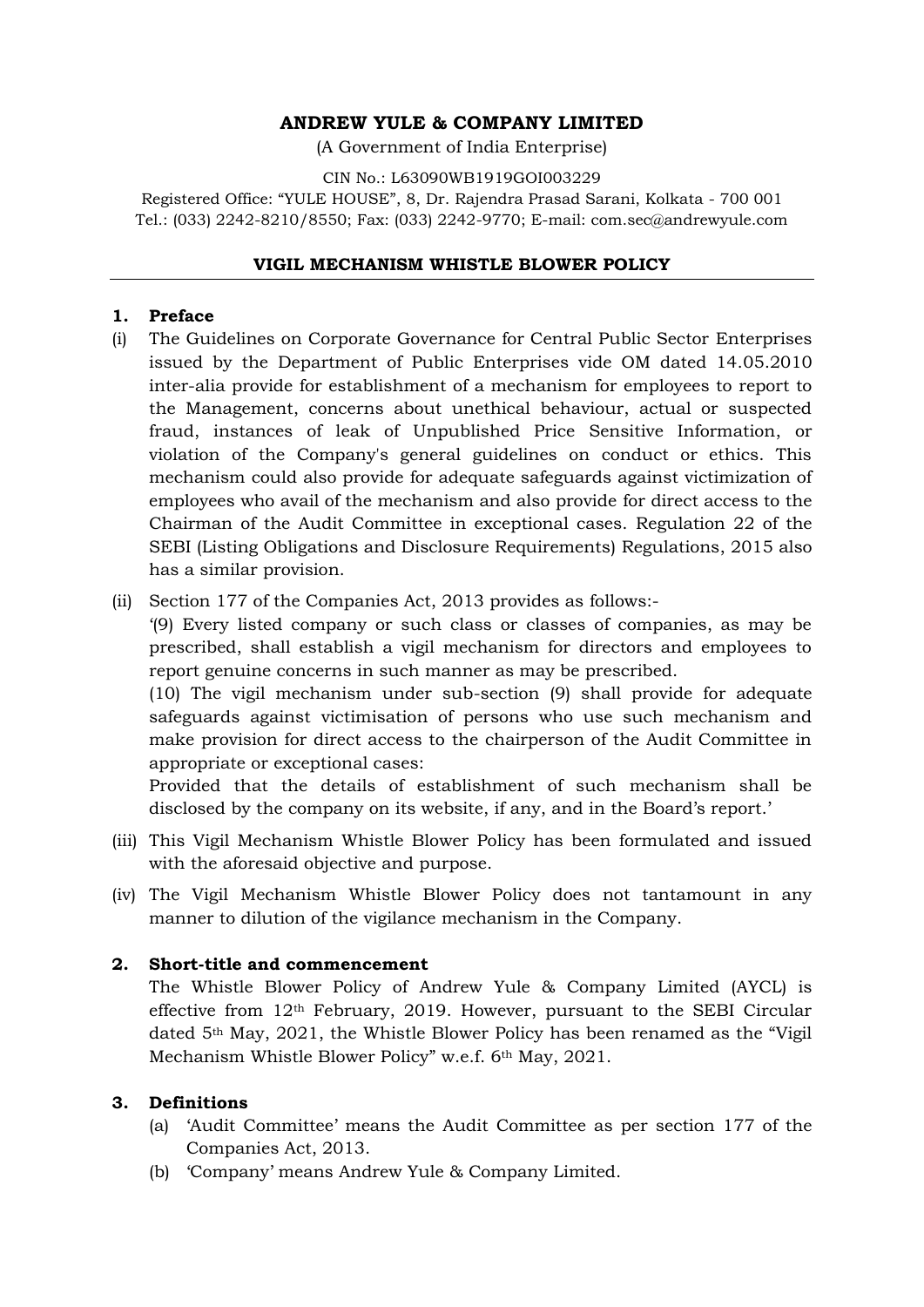#### **ANDREW YULE & COMPANY LIMITED**

(A Government of India Enterprise)

CIN No.: L63090WB1919GOI003229

Registered Office: "YULE HOUSE", 8, Dr. Rajendra Prasad Sarani, Kolkata - 700 001 Tel.: (033) 2242-8210/8550; Fax: (033) 2242-9770; E-mail: [com.sec@andrewyule.com](mailto:com.sec@andrewyule.com)

#### **VIGIL MECHANISM WHISTLE BLOWER POLICY**

#### **1. Preface**

- (i) The Guidelines on Corporate Governance for Central Public Sector Enterprises issued by the Department of Public Enterprises vide OM dated 14.05.2010 inter-alia provide for establishment of a mechanism for employees to report to the Management, concerns about unethical behaviour, actual or suspected fraud, instances of leak of Unpublished Price Sensitive Information, or violation of the Company's general guidelines on conduct or ethics. This mechanism could also provide for adequate safeguards against victimization of employees who avail of the mechanism and also provide for direct access to the Chairman of the Audit Committee in exceptional cases. Regulation 22 of the SEBI (Listing Obligations and Disclosure Requirements) Regulations, 2015 also has a similar provision.
- (ii) Section 177 of the Companies Act, 2013 provides as follows:-

'(9) Every listed company or such class or classes of companies, as may be prescribed, shall establish a vigil mechanism for directors and employees to report genuine concerns in such manner as may be prescribed.

(10) The vigil mechanism under sub-section (9) shall provide for adequate safeguards against victimisation of persons who use such mechanism and make provision for direct access to the chairperson of the Audit Committee in appropriate or exceptional cases:

Provided that the details of establishment of such mechanism shall be disclosed by the company on its website, if any, and in the Board's report.'

- (iii) This Vigil Mechanism Whistle Blower Policy has been formulated and issued with the aforesaid objective and purpose.
- (iv) The Vigil Mechanism Whistle Blower Policy does not tantamount in any manner to dilution of the vigilance mechanism in the Company.

#### **2. Short-title and commencement**

The Whistle Blower Policy of Andrew Yule & Company Limited (AYCL) is effective from 12th February, 2019. However, pursuant to the SEBI Circular dated 5th May, 2021, the Whistle Blower Policy has been renamed as the "Vigil Mechanism Whistle Blower Policy" w.e.f. 6th May, 2021.

#### **3. Definitions**

- (a) 'Audit Committee' means the Audit Committee as per section 177 of the Companies Act, 2013.
- (b) 'Company' means Andrew Yule & Company Limited.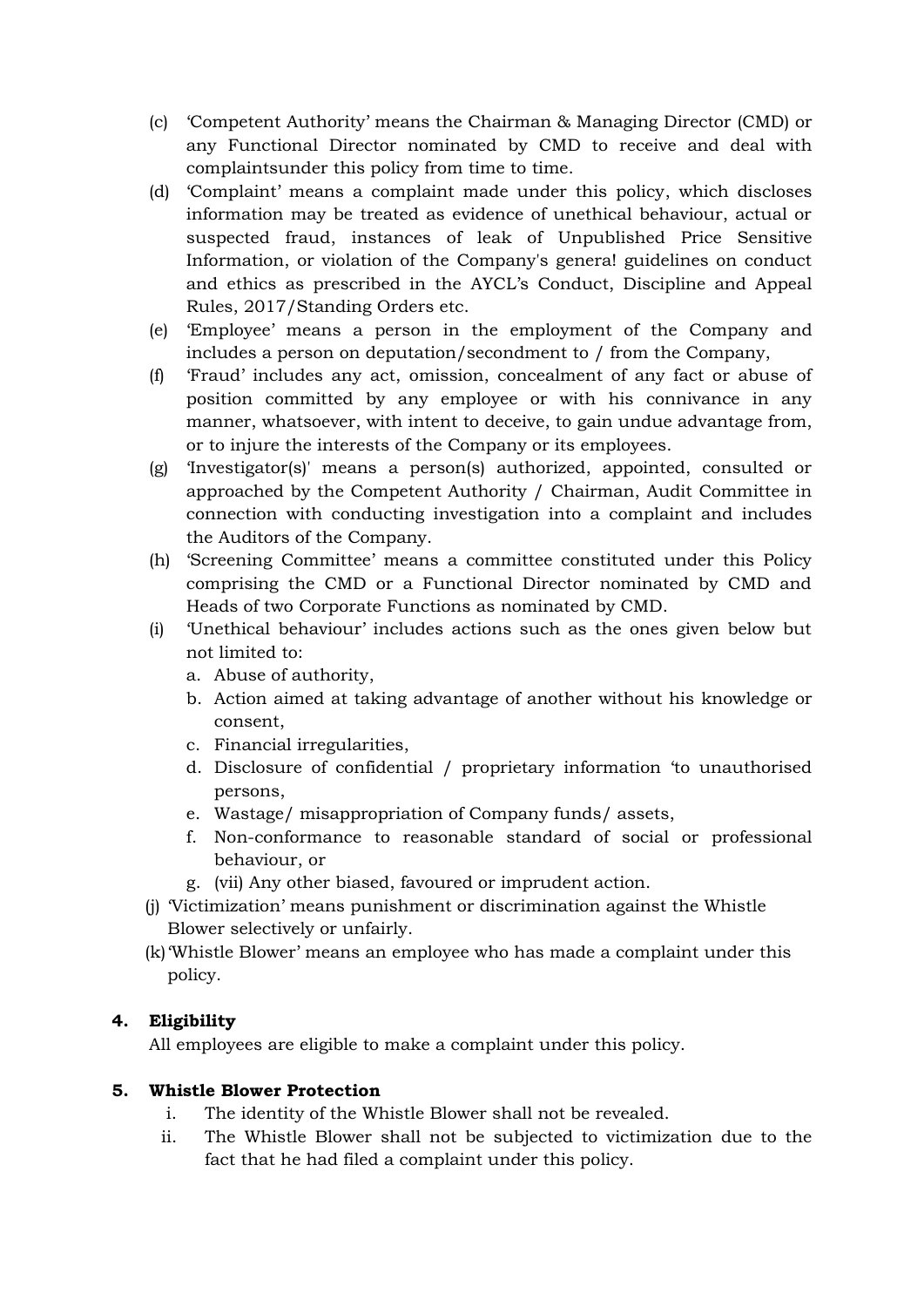- (c) 'Competent Authority' means the Chairman & Managing Director (CMD) or any Functional Director nominated by CMD to receive and deal with complaintsunder this policy from time to time.
- (d) 'Complaint' means a complaint made under this policy, which discloses information may be treated as evidence of unethical behaviour, actual or suspected fraud, instances of leak of Unpublished Price Sensitive Information, or violation of the Company's genera! guidelines on conduct and ethics as prescribed in the AYCL's Conduct, Discipline and Appeal Rules, 2017/Standing Orders etc.
- (e) 'Employee' means a person in the employment of the Company and includes a person on deputation/secondment to / from the Company,
- (f) 'Fraud' includes any act, omission, concealment of any fact or abuse of position committed by any employee or with his connivance in any manner, whatsoever, with intent to deceive, to gain undue advantage from, or to injure the interests of the Company or its employees.
- (g) 'Investigator(s)' means a person(s) authorized, appointed, consulted or approached by the Competent Authority / Chairman, Audit Committee in connection with conducting investigation into a complaint and includes the Auditors of the Company.
- (h) 'Screening Committee' means a committee constituted under this Policy comprising the CMD or a Functional Director nominated by CMD and Heads of two Corporate Functions as nominated by CMD.
- (i) 'Unethical behaviour' includes actions such as the ones given below but not limited to:
	- a. Abuse of authority,
	- b. Action aimed at taking advantage of another without his knowledge or consent,
	- c. Financial irregularities,
	- d. Disclosure of confidential / proprietary information 'to unauthorised persons,
	- e. Wastage/ misappropriation of Company funds/ assets,
	- f. Non-conformance to reasonable standard of social or professional behaviour, or
	- g. (vii) Any other biased, favoured or imprudent action.
- (j) 'Victimization' means punishment or discrimination against the Whistle Blower selectively or unfairly.
- (k)'Whistle Blower' means an employee who has made a complaint under this policy.

# **4. Eligibility**

All employees are eligible to make a complaint under this policy.

### **5. Whistle Blower Protection**

- i. The identity of the Whistle Blower shall not be revealed.
- ii. The Whistle Blower shall not be subjected to victimization due to the fact that he had filed a complaint under this policy.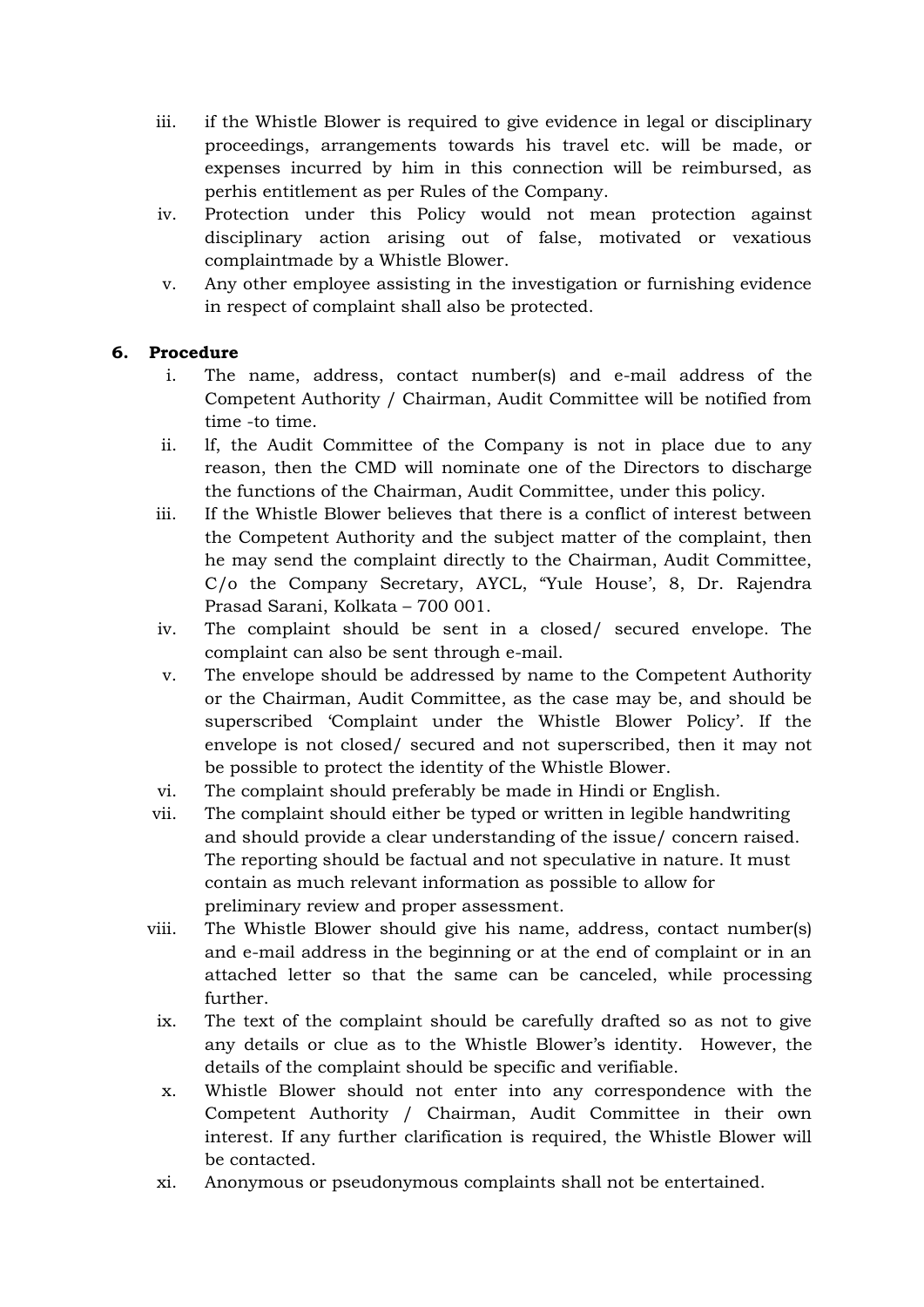- iii. if the Whistle Blower is required to give evidence in legal or disciplinary proceedings, arrangements towards his travel etc. will be made, or expenses incurred by him in this connection will be reimbursed, as perhis entitlement as per Rules of the Company.
- iv. Protection under this Policy would not mean protection against disciplinary action arising out of false, motivated or vexatious complaintmade by a Whistle Blower.
- v. Any other employee assisting in the investigation or furnishing evidence in respect of complaint shall also be protected.

# **6. Procedure**

- i. The name, address, contact number(s) and e-mail address of the Competent Authority / Chairman, Audit Committee will be notified from time -to time.
- ii. lf, the Audit Committee of the Company is not in place due to any reason, then the CMD will nominate one of the Directors to discharge the functions of the Chairman, Audit Committee, under this policy.
- iii. If the Whistle Blower believes that there is a conflict of interest between the Competent Authority and the subject matter of the complaint, then he may send the complaint directly to the Chairman, Audit Committee, C/o the Company Secretary, AYCL, "Yule House', 8, Dr. Rajendra Prasad Sarani, Kolkata – 700 001.
- iv. The complaint should be sent in a closed/ secured envelope. The complaint can also be sent through e-mail.
- v. The envelope should be addressed by name to the Competent Authority or the Chairman, Audit Committee, as the case may be, and should be superscribed 'Complaint under the Whistle Blower Policy'. If the envelope is not closed/ secured and not superscribed, then it may not be possible to protect the identity of the Whistle Blower.
- vi. The complaint should preferably be made in Hindi or English.
- vii. The complaint should either be typed or written in legible handwriting and should provide a clear understanding of the issue/ concern raised. The reporting should be factual and not speculative in nature. It must contain as much relevant information as possible to allow for preliminary review and proper assessment.
- viii. The Whistle Blower should give his name, address, contact number(s) and e-mail address in the beginning or at the end of complaint or in an attached letter so that the same can be canceled, while processing further.
- ix. The text of the complaint should be carefully drafted so as not to give any details or clue as to the Whistle Blower's identity. However, the details of the complaint should be specific and verifiable.
- x. Whistle Blower should not enter into any correspondence with the Competent Authority / Chairman, Audit Committee in their own interest. If any further clarification is required, the Whistle Blower will be contacted.
- xi. Anonymous or pseudonymous complaints shall not be entertained.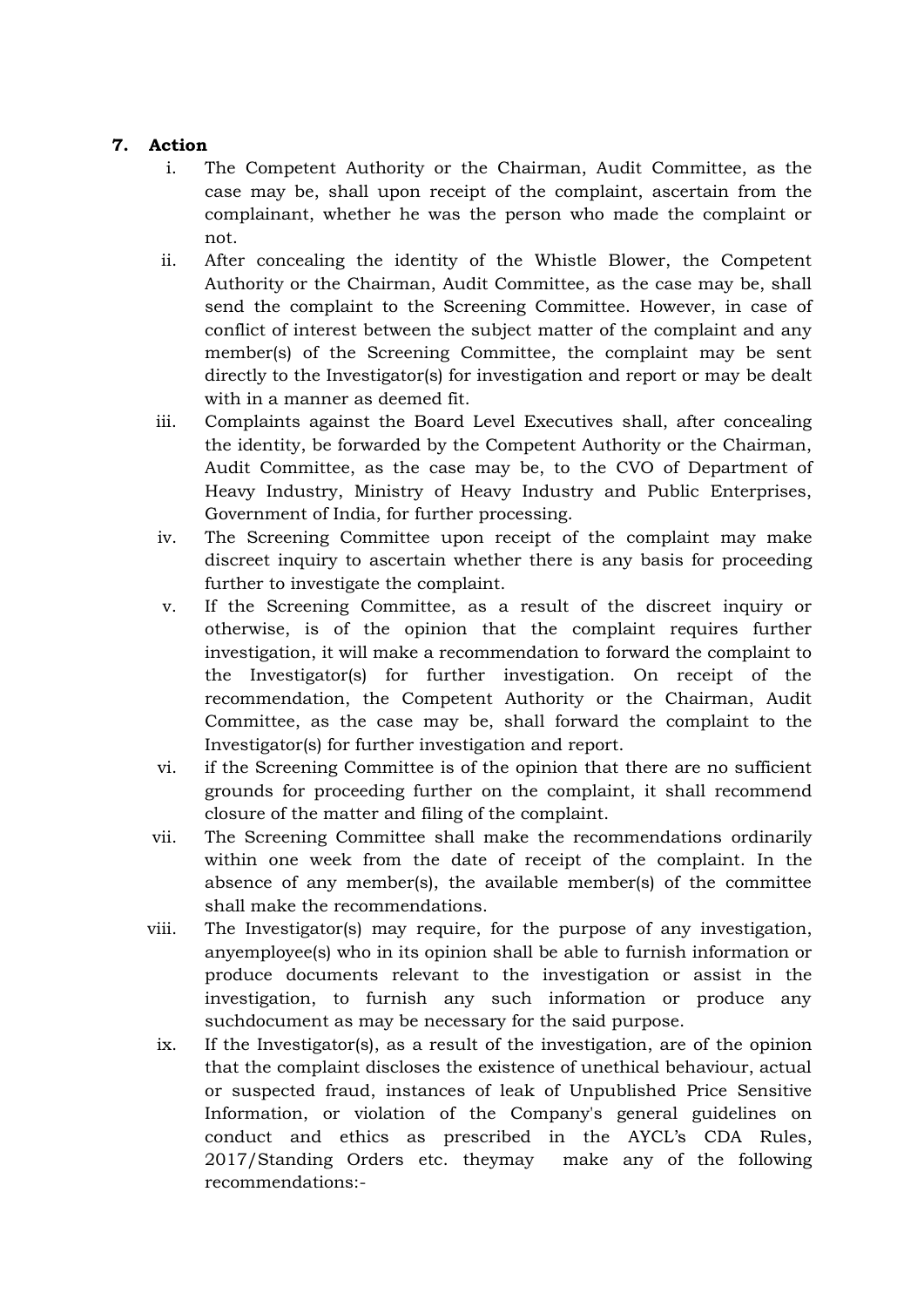## **7. Action**

- i. The Competent Authority or the Chairman, Audit Committee, as the case may be, shall upon receipt of the complaint, ascertain from the complainant, whether he was the person who made the complaint or not.
- ii. After concealing the identity of the Whistle Blower, the Competent Authority or the Chairman, Audit Committee, as the case may be, shall send the complaint to the Screening Committee. However, in case of conflict of interest between the subject matter of the complaint and any member(s) of the Screening Committee, the complaint may be sent directly to the Investigator(s) for investigation and report or may be dealt with in a manner as deemed fit.
- iii. Complaints against the Board Level Executives shall, after concealing the identity, be forwarded by the Competent Authority or the Chairman, Audit Committee, as the case may be, to the CVO of Department of Heavy Industry, Ministry of Heavy Industry and Public Enterprises, Government of India, for further processing.
- iv. The Screening Committee upon receipt of the complaint may make discreet inquiry to ascertain whether there is any basis for proceeding further to investigate the complaint.
- v. If the Screening Committee, as a result of the discreet inquiry or otherwise, is of the opinion that the complaint requires further investigation, it will make a recommendation to forward the complaint to the Investigator(s) for further investigation. On receipt of the recommendation, the Competent Authority or the Chairman, Audit Committee, as the case may be, shall forward the complaint to the Investigator(s) for further investigation and report.
- vi. if the Screening Committee is of the opinion that there are no sufficient grounds for proceeding further on the complaint, it shall recommend closure of the matter and filing of the complaint.
- vii. The Screening Committee shall make the recommendations ordinarily within one week from the date of receipt of the complaint. In the absence of any member(s), the available member(s) of the committee shall make the recommendations.
- viii. The Investigator(s) may require, for the purpose of any investigation, anyemployee(s) who in its opinion shall be able to furnish information or produce documents relevant to the investigation or assist in the investigation, to furnish any such information or produce any suchdocument as may be necessary for the said purpose.
- ix. If the Investigator(s), as a result of the investigation, are of the opinion that the complaint discloses the existence of unethical behaviour, actual or suspected fraud, instances of leak of Unpublished Price Sensitive Information, or violation of the Company's general guidelines on conduct and ethics as prescribed in the AYCL's CDA Rules, 2017/Standing Orders etc. theymay make any of the following recommendations:-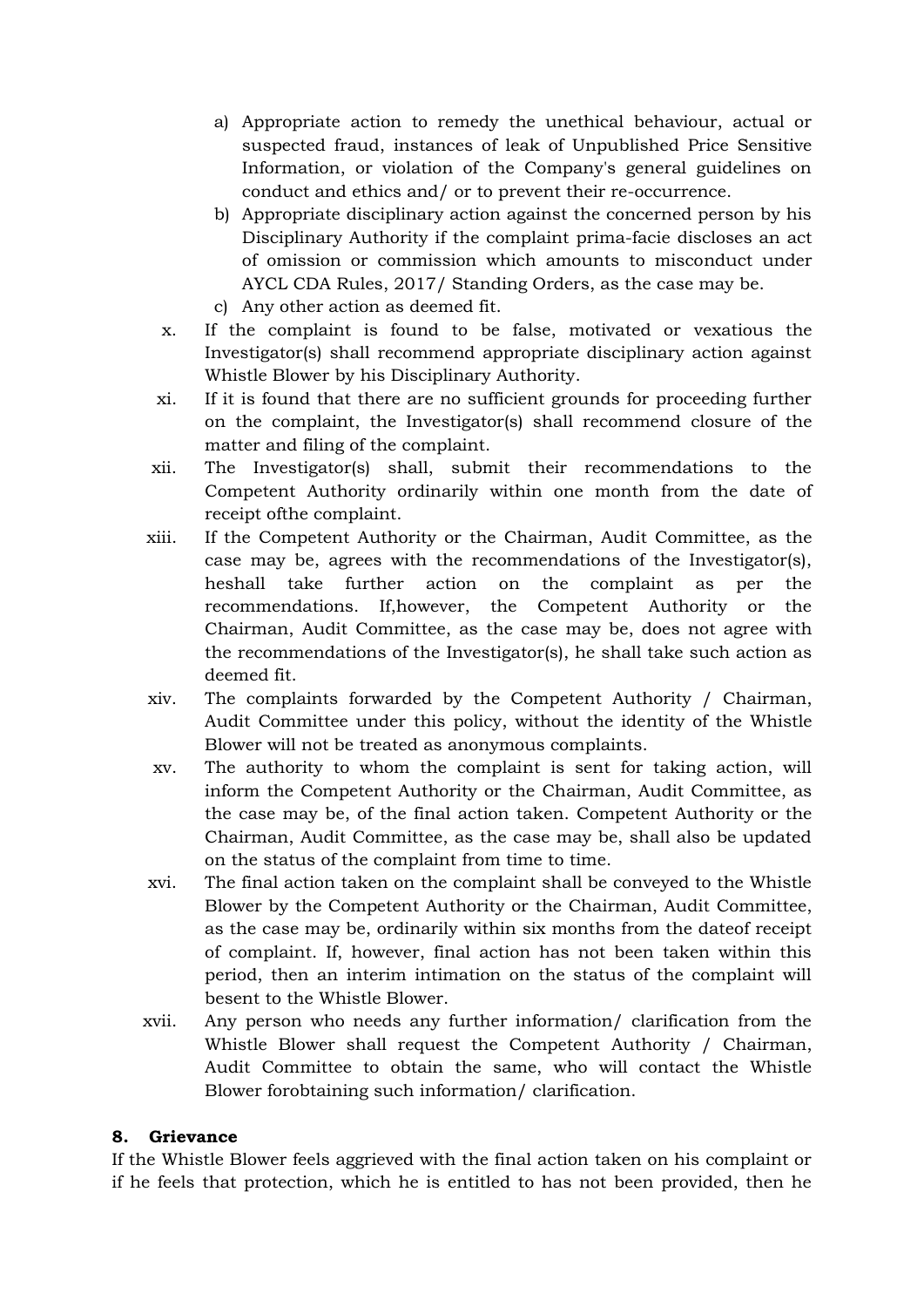- a) Appropriate action to remedy the unethical behaviour, actual or suspected fraud, instances of leak of Unpublished Price Sensitive Information, or violation of the Company's general guidelines on conduct and ethics and/ or to prevent their re-occurrence.
- b) Appropriate disciplinary action against the concerned person by his Disciplinary Authority if the complaint prima-facie discloses an act of omission or commission which amounts to misconduct under AYCL CDA Rules, 2017/ Standing Orders, as the case may be.
- c) Any other action as deemed fit.
- x. If the complaint is found to be false, motivated or vexatious the Investigator(s) shall recommend appropriate disciplinary action against Whistle Blower by his Disciplinary Authority.
- xi. If it is found that there are no sufficient grounds for proceeding further on the complaint, the Investigator(s) shall recommend closure of the matter and filing of the complaint.
- xii. The Investigator(s) shall, submit their recommendations to the Competent Authority ordinarily within one month from the date of receipt ofthe complaint.
- xiii. If the Competent Authority or the Chairman, Audit Committee, as the case may be, agrees with the recommendations of the Investigator(s), heshall take further action on the complaint as per the recommendations. If,however, the Competent Authority or the Chairman, Audit Committee, as the case may be, does not agree with the recommendations of the Investigator(s), he shall take such action as deemed fit.
- xiv. The complaints forwarded by the Competent Authority / Chairman, Audit Committee under this policy, without the identity of the Whistle Blower will not be treated as anonymous complaints.
- xv. The authority to whom the complaint is sent for taking action, will inform the Competent Authority or the Chairman, Audit Committee, as the case may be, of the final action taken. Competent Authority or the Chairman, Audit Committee, as the case may be, shall also be updated on the status of the complaint from time to time.
- xvi. The final action taken on the complaint shall be conveyed to the Whistle Blower by the Competent Authority or the Chairman, Audit Committee, as the case may be, ordinarily within six months from the dateof receipt of complaint. If, however, final action has not been taken within this period, then an interim intimation on the status of the complaint will besent to the Whistle Blower.
- xvii. Any person who needs any further information/ clarification from the Whistle Blower shall request the Competent Authority / Chairman, Audit Committee to obtain the same, who will contact the Whistle Blower forobtaining such information/ clarification.

### **8. Grievance**

If the Whistle Blower feels aggrieved with the final action taken on his complaint or if he feels that protection, which he is entitled to has not been provided, then he